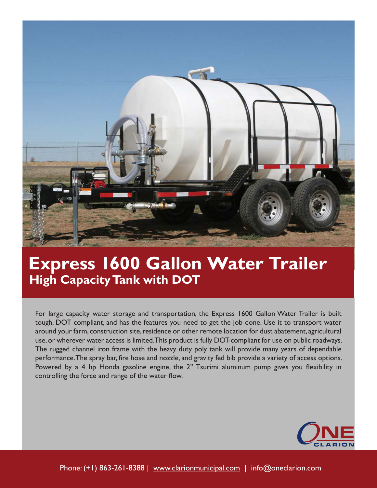

## **Express 1600 Gallon Water Trailer High Capacity Tank with DOT**

For large capacity water storage and transportation, the Express 1600 Gallon Water Trailer is built tough, DOT compliant, and has the features you need to get the job done. Use it to transport water around your farm, construction site, residence or other remote location for dust abatement, agricultural use, or wherever water access is limited. This product is fully DOT-compliant for use on public roadways. The rugged channel iron frame with the heavy duty poly tank will provide many years of dependable performance. The spray bar, fire hose and nozzle, and gravity fed bib provide a variety of access options. Powered by a 4 hp Honda gasoline engine, the 2" Tsurimi aluminum pump gives you flexibility in controlling the force and range of the water flow.

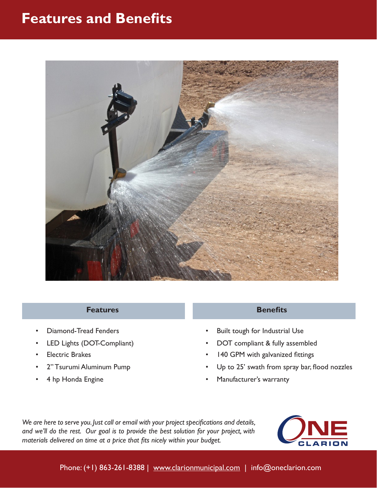## **Features and Benefits**



### **Features**

- Diamond-Tread Fenders
- LED Lights (DOT-Compliant)
- Electric Brakes
- 2" Tsurumi Aluminum Pump
- 4 hp Honda Engine

### **Benefits**

- Built tough for Industrial Use
- DOT compliant & fully assembled
- 140 GPM with galvanized fittings
- Up to 25' swath from spray bar, flood nozzles
- Manufacturer's warranty

*We are here to serve you. Just call or email with your project specifications and details, and we'll do the rest. Our goal is to provide the best solution for your project, with materials delivered on time at a price that fits nicely within your budget.*